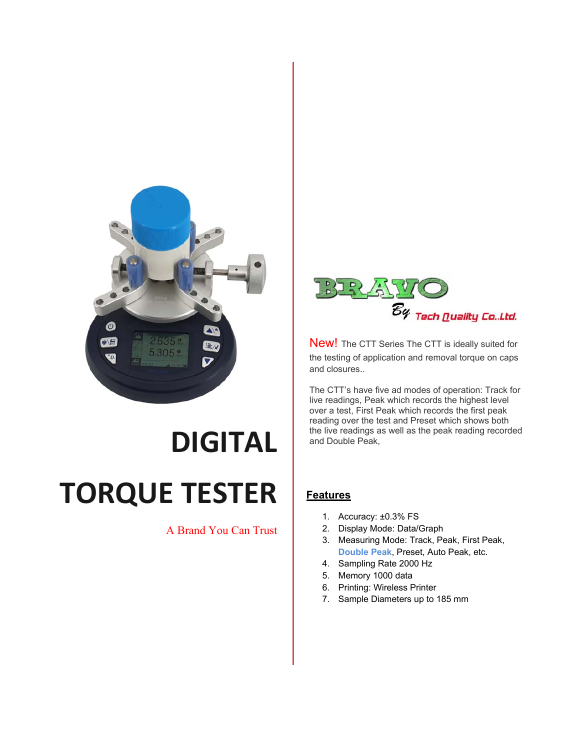

## **DIGITAL TORQUE TESTER**

## A Brand You Can Trust



New! The CTT Series The CTT is ideally suited for the testing of application and removal torque on caps and closures..

The CTT's have five ad modes of operation: Track for live readings, Peak which records the highest level over a test, First Peak which records the first peak reading over the test and Preset which shows both the live readings as well as the peak reading recorded and Double Peak,

## **Features**

- 1. Accuracy: ±0.3% FS
- 2. Display Mode: Data/Graph
- 3. Measuring Mode: Track, Peak, First Peak, **Double Peak**, Preset, Auto Peak, etc.
- 4. Sampling Rate 2000 Hz
- 5. Memory 1000 data
- 6. Printing: Wireless Printer
- 7. Sample Diameters up to 185 mm